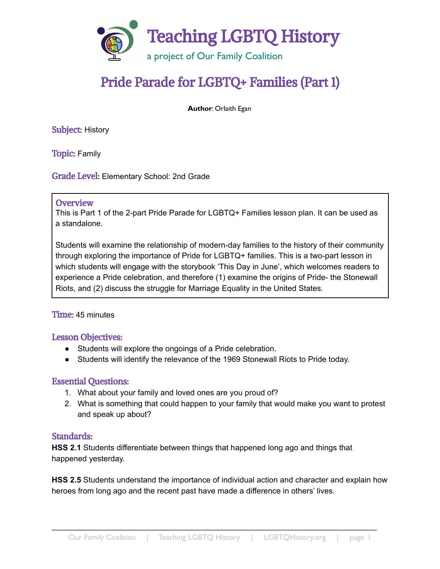

# Pride Parade for LGBTQ+ Families (Part 1)

**Author**: Orlaith Egan

Subject: History

Topic: Family

Grade Level: Elementary School: 2nd Grade

#### **Overview**

This is Part 1 of the 2-part Pride Parade for LGBTQ+ Families lesson plan. It can be used as a standalone.

Students will examine the relationship of modern-day families to the history of their community through exploring the importance of Pride for LGBTQ+ families. This is a two-part lesson in which students will engage with the storybook 'This Day in June', which welcomes readers to experience a Pride celebration, and therefore (1) examine the origins of Pride- the Stonewall Riots, and (2) discuss the struggle for Marriage Equality in the United States.

#### Time: 45 minutes

#### Lesson Objectives:

- Students will explore the ongoings of a Pride celebration.
- Students will identify the relevance of the 1969 Stonewall Riots to Pride today.

#### Essential Questions:

- 1. What about your family and loved ones are you proud of?
- 2. What is something that could happen to your family that would make you want to protest and speak up about?

#### Standards:

**HSS 2.1** Students differentiate between things that happened long ago and things that happened yesterday.

**HSS 2.5** Students understand the importance of individual action and character and explain how heroes from long ago and the recent past have made a difference in others' lives.

\_\_\_\_\_\_\_\_\_\_\_\_\_\_\_\_\_\_\_\_\_\_\_\_\_\_\_\_\_\_\_\_\_\_\_\_\_\_\_\_\_\_\_\_\_\_\_\_\_\_\_\_\_\_\_\_\_\_\_\_\_\_\_\_\_\_\_\_\_\_\_\_\_\_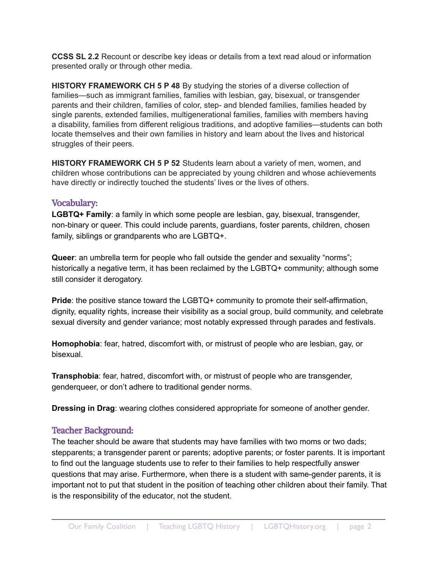**CCSS SL 2.2** Recount or describe key ideas or details from a text read aloud or information presented orally or through other media.

**HISTORY FRAMEWORK CH 5 P 48** By studying the stories of a diverse collection of families—such as immigrant families, families with lesbian, gay, bisexual, or transgender parents and their children, families of color, step- and blended families, families headed by single parents, extended families, multigenerational families, families with members having a disability, families from different religious traditions, and adoptive families—students can both locate themselves and their own families in history and learn about the lives and historical struggles of their peers.

**HISTORY FRAMEWORK CH 5 P 52** Students learn about a variety of men, women, and children whose contributions can be appreciated by young children and whose achievements have directly or indirectly touched the students' lives or the lives of others.

## Vocabulary:

**LGBTQ+ Family**: a family in which some people are lesbian, gay, bisexual, transgender, non-binary or queer. This could include parents, guardians, foster parents, children, chosen family, siblings or grandparents who are LGBTQ+.

**Queer**: an umbrella term for people who fall outside the gender and sexuality "norms"; historically a negative term, it has been reclaimed by the LGBTQ+ community; although some still consider it derogatory.

**Pride**: the positive stance toward the LGBTQ+ community to promote their self-affirmation, dignity, equality rights, increase their visibility as a social group, build community, and celebrate sexual diversity and gender variance; most notably expressed through parades and festivals.

**Homophobia**: fear, hatred, discomfort with, or mistrust of people who are lesbian, gay, or bisexual.

**Transphobia**: fear, hatred, discomfort with, or mistrust of people who are transgender, genderqueer, or don't adhere to traditional gender norms.

**Dressing in Drag**: wearing clothes considered appropriate for someone of another gender.

# Teacher Background:

The teacher should be aware that students may have families with two moms or two dads; stepparents; a transgender parent or parents; adoptive parents; or foster parents. It is important to find out the language students use to refer to their families to help respectfully answer questions that may arise. Furthermore, when there is a student with same-gender parents, it is important not to put that student in the position of teaching other children about their family. That is the responsibility of the educator, not the student.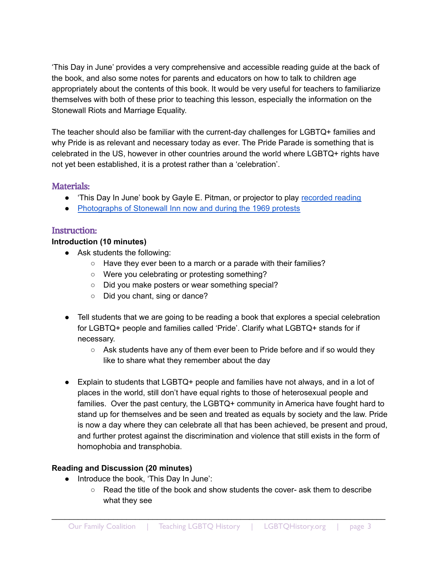'This Day in June' provides a very comprehensive and accessible reading guide at the back of the book, and also some notes for parents and educators on how to talk to children age appropriately about the contents of this book. It would be very useful for teachers to familiarize themselves with both of these prior to teaching this lesson, especially the information on the Stonewall Riots and Marriage Equality.

The teacher should also be familiar with the current-day challenges for LGBTQ+ families and why Pride is as relevant and necessary today as ever. The Pride Parade is something that is celebrated in the US, however in other countries around the world where LGBTQ+ rights have not yet been established, it is a protest rather than a 'celebration'.

# Materials:

- This Day In June' book by Gayle E. Pitman, or projector to play [recorded](https://www.youtube.com/watch?v=3VI8UgEkH-c) reading
- [Photographs](http://www.lgbtqhistory.org/wp-content/uploads/2022/05/Pride-for-LGBTQ-Families-Pt-1-Source-Deck.pdf) of Stonewall Inn now and during the 1969 protests

# Instruction:

## **Introduction (10 minutes)**

- Ask students the following:
	- Have they ever been to a march or a parade with their families?
	- Were you celebrating or protesting something?
	- Did you make posters or wear something special?
	- Did you chant, sing or dance?
- Tell students that we are going to be reading a book that explores a special celebration for LGBTQ+ people and families called 'Pride'. Clarify what LGBTQ+ stands for if necessary.
	- $\circ$  Ask students have any of them ever been to Pride before and if so would they like to share what they remember about the day
- Explain to students that LGBTQ+ people and families have not always, and in a lot of places in the world, still don't have equal rights to those of heterosexual people and families. Over the past century, the LGBTQ+ community in America have fought hard to stand up for themselves and be seen and treated as equals by society and the law. Pride is now a day where they can celebrate all that has been achieved, be present and proud, and further protest against the discrimination and violence that still exists in the form of homophobia and transphobia.

# **Reading and Discussion (20 minutes)**

- Introduce the book, 'This Day In June':
	- Read the title of the book and show students the cover- ask them to describe what they see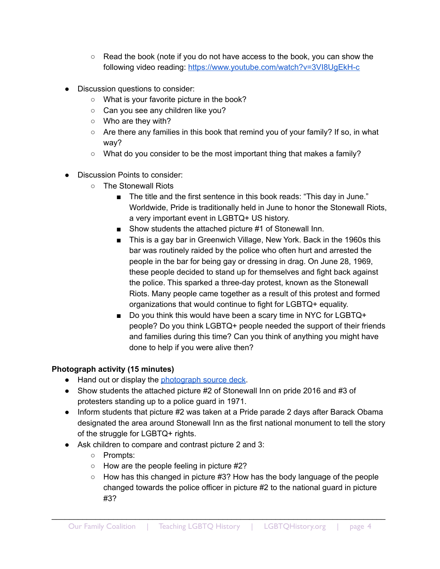- $\circ$  Read the book (note if you do not have access to the book, you can show the following video reading: https://www.youtube.com/watch?v=3VI8UqEkH-c
- Discussion questions to consider:
	- What is your favorite picture in the book?
	- Can you see any children like you?
	- Who are they with?
	- $\circ$  Are there any families in this book that remind you of your family? If so, in what way?
	- $\circ$  What do you consider to be the most important thing that makes a family?
- Discussion Points to consider:
	- The Stonewall Riots
		- The title and the first sentence in this book reads: "This day in June." Worldwide, Pride is traditionally held in June to honor the Stonewall Riots, a very important event in LGBTQ+ US history.
		- Show students the attached picture #1 of Stonewall Inn.
		- This is a gay bar in Greenwich Village, New York. Back in the 1960s this bar was routinely raided by the police who often hurt and arrested the people in the bar for being gay or dressing in drag. On June 28, 1969, these people decided to stand up for themselves and fight back against the police. This sparked a three-day protest, known as the Stonewall Riots. Many people came together as a result of this protest and formed organizations that would continue to fight for LGBTQ+ equality.
		- Do you think this would have been a scary time in NYC for LGBTQ+ people? Do you think LGBTQ+ people needed the support of their friends and families during this time? Can you think of anything you might have done to help if you were alive then?

## **Photograph activity (15 minutes)**

- Hand out or display the [photograph](http://www.lgbtqhistory.org/wp-content/uploads/2022/05/Pride-for-LGBTQ-Families-Pt-1-Source-Deck.pdf) source deck.
- Show students the attached picture #2 of Stonewall Inn on pride 2016 and #3 of protesters standing up to a police guard in 1971.
- Inform students that picture #2 was taken at a Pride parade 2 days after Barack Obama designated the area around Stonewall Inn as the first national monument to tell the story of the struggle for LGBTQ+ rights.
- Ask children to compare and contrast picture 2 and 3:
	- Prompts:
	- How are the people feeling in picture #2?
	- How has this changed in picture #3? How has the body language of the people changed towards the police officer in picture #2 to the national guard in picture #3?